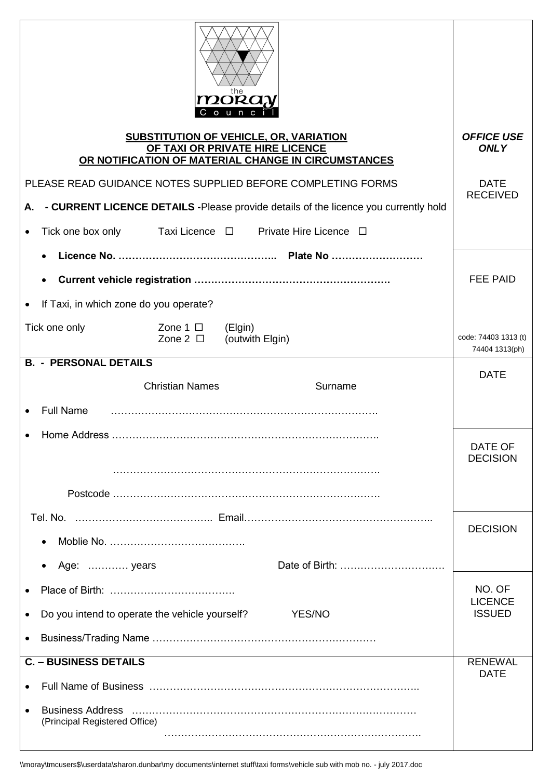|                                                                                                                                         |                                  | $\mathbf{m}$ oray<br>Counc                                        |                                        |
|-----------------------------------------------------------------------------------------------------------------------------------------|----------------------------------|-------------------------------------------------------------------|----------------------------------------|
| <b>SUBSTITUTION OF VEHICLE, OR, VARIATION</b><br>OF TAXI OR PRIVATE HIRE LICENCE<br>OR NOTIFICATION OF MATERIAL CHANGE IN CIRCUMSTANCES | <b>OFFICE USE</b><br><b>ONLY</b> |                                                                   |                                        |
| PLEASE READ GUIDANCE NOTES SUPPLIED BEFORE COMPLETING FORMS                                                                             |                                  |                                                                   | <b>DATE</b><br><b>RECEIVED</b>         |
| - CURRENT LICENCE DETAILS - Please provide details of the licence you currently hold<br>А.                                              |                                  |                                                                   |                                        |
|                                                                                                                                         |                                  | Tick one box only Taxi Licence $\Box$ Private Hire Licence $\Box$ |                                        |
|                                                                                                                                         |                                  |                                                                   |                                        |
|                                                                                                                                         |                                  |                                                                   | <b>FEE PAID</b>                        |
| If Taxi, in which zone do you operate?                                                                                                  |                                  |                                                                   |                                        |
| Tick one only                                                                                                                           | Zone 1 $\Box$ (Elgin)            | Zone $2 \Box$ (outwith Elgin)                                     | code: 74403 1313 (t)<br>74404 1313(ph) |
| <b>B. - PERSONAL DETAILS</b>                                                                                                            |                                  |                                                                   | <b>DATE</b>                            |
|                                                                                                                                         | <b>Christian Names</b>           | Surname                                                           |                                        |
| <b>Full Name</b>                                                                                                                        |                                  |                                                                   |                                        |
|                                                                                                                                         |                                  |                                                                   | DATE OF<br><b>DECISION</b>             |
|                                                                                                                                         |                                  |                                                                   |                                        |
|                                                                                                                                         |                                  |                                                                   |                                        |
| $\bullet$                                                                                                                               |                                  |                                                                   | <b>DECISION</b>                        |
| Age:  years<br>$\bullet$                                                                                                                |                                  |                                                                   |                                        |
|                                                                                                                                         |                                  |                                                                   | NO. OF                                 |
| Do you intend to operate the vehicle yourself?<br><b>YES/NO</b><br>$\bullet$                                                            |                                  |                                                                   | <b>LICENCE</b><br><b>ISSUED</b>        |
| $\bullet$                                                                                                                               |                                  |                                                                   |                                        |
| <b>C. - BUSINESS DETAILS</b>                                                                                                            |                                  |                                                                   | <b>RENEWAL</b>                         |
|                                                                                                                                         | <b>DATE</b>                      |                                                                   |                                        |
| <b>Business Address</b><br>$\bullet$<br>(Principal Registered Office)                                                                   |                                  |                                                                   |                                        |
|                                                                                                                                         |                                  |                                                                   |                                        |

\\moray\tmcusers\$\userdata\sharon.dunbar\my documents\internet stuff\taxi forms\vehicle sub with mob no. - july 2017.doc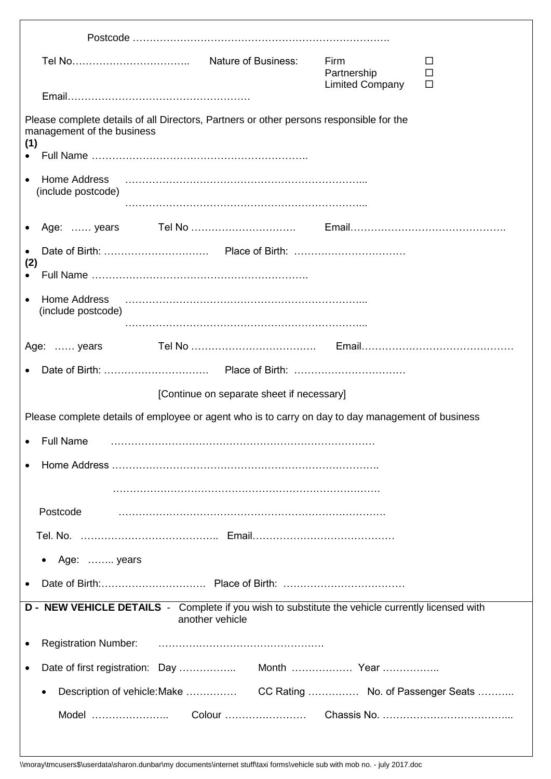|                                                        |                                                                                                                     | Firm<br>Partnership    | ப<br>$\Box$<br>□ |
|--------------------------------------------------------|---------------------------------------------------------------------------------------------------------------------|------------------------|------------------|
|                                                        |                                                                                                                     | <b>Limited Company</b> |                  |
| management of the business                             | Please complete details of all Directors, Partners or other persons responsible for the                             |                        |                  |
| (1)                                                    |                                                                                                                     |                        |                  |
| <b>Home Address</b><br>(include postcode)              |                                                                                                                     |                        |                  |
|                                                        |                                                                                                                     |                        |                  |
| $\bullet$<br>(2)                                       |                                                                                                                     |                        |                  |
|                                                        |                                                                                                                     |                        |                  |
| <b>Home Address</b><br>$\bullet$<br>(include postcode) |                                                                                                                     |                        |                  |
| Age:  years                                            |                                                                                                                     |                        |                  |
|                                                        |                                                                                                                     |                        |                  |
|                                                        | [Continue on separate sheet if necessary]                                                                           |                        |                  |
|                                                        | Please complete details of employee or agent who is to carry on day to day management of business                   |                        |                  |
| • Full Name                                            |                                                                                                                     |                        |                  |
|                                                        |                                                                                                                     |                        |                  |
|                                                        |                                                                                                                     |                        |                  |
| Postcode                                               |                                                                                                                     |                        |                  |
|                                                        |                                                                                                                     |                        |                  |
| Age:  years<br>$\bullet$                               |                                                                                                                     |                        |                  |
|                                                        |                                                                                                                     |                        |                  |
|                                                        | D - NEW VEHICLE DETAILS - Complete if you wish to substitute the vehicle currently licensed with<br>another vehicle |                        |                  |
| <b>Registration Number:</b>                            |                                                                                                                     |                        |                  |
|                                                        |                                                                                                                     |                        |                  |
| $\bullet$                                              |                                                                                                                     |                        |                  |
|                                                        |                                                                                                                     |                        |                  |
|                                                        |                                                                                                                     |                        |                  |